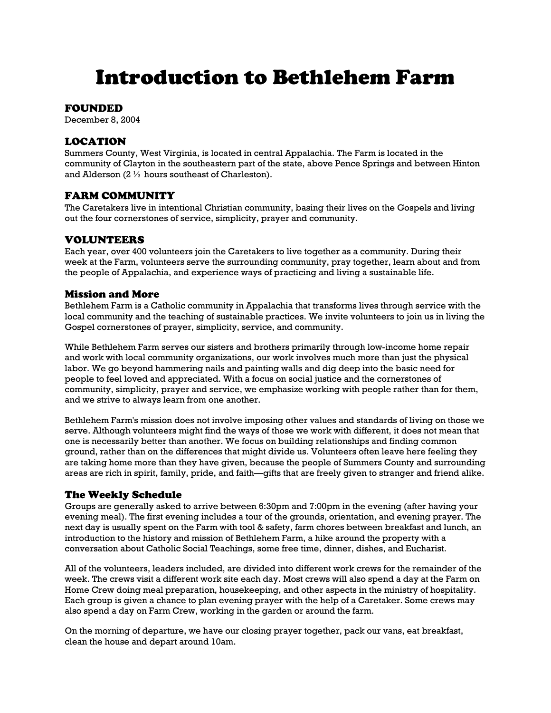# Introduction to Bethlehem Farm

#### FOUNDED

December 8, 2004

# LOCATION

Summers County, West Virginia, is located in central Appalachia. The Farm is located in the community of Clayton in the southeastern part of the state, above Pence Springs and between Hinton and Alderson (2 ½ hours southeast of Charleston).

#### FARM COMMUNITY

The Caretakers live in intentional Christian community, basing their lives on the Gospels and living out the four cornerstones of service, simplicity, prayer and community.

## VOLUNTEERS

Each year, over 400 volunteers join the Caretakers to live together as a community. During their week at the Farm, volunteers serve the surrounding community, pray together, learn about and from the people of Appalachia, and experience ways of practicing and living a sustainable life.

### Mission and More

Bethlehem Farm is a Catholic community in Appalachia that transforms lives through service with the local community and the teaching of sustainable practices. We invite volunteers to join us in living the Gospel cornerstones of prayer, simplicity, service, and community.

While Bethlehem Farm serves our sisters and brothers primarily through low-income home repair and work with local community organizations, our work involves much more than just the physical labor. We go beyond hammering nails and painting walls and dig deep into the basic need for people to feel loved and appreciated. With a focus on social justice and the cornerstones of community, simplicity, prayer and service, we emphasize working with people rather than for them, and we strive to always learn from one another.

Bethlehem Farm's mission does not involve imposing other values and standards of living on those we serve. Although volunteers might find the ways of those we work with different, it does not mean that one is necessarily better than another. We focus on building relationships and finding common ground, rather than on the differences that might divide us. Volunteers often leave here feeling they are taking home more than they have given, because the people of Summers County and surrounding areas are rich in spirit, family, pride, and faith—gifts that are freely given to stranger and friend alike.

#### The Weekly Schedule

Groups are generally asked to arrive between 6:30pm and 7:00pm in the evening (after having your evening meal). The first evening includes a tour of the grounds, orientation, and evening prayer. The next day is usually spent on the Farm with tool & safety, farm chores between breakfast and lunch, an introduction to the history and mission of Bethlehem Farm, a hike around the property with a conversation about Catholic Social Teachings, some free time, dinner, dishes, and Eucharist.

All of the volunteers, leaders included, are divided into different work crews for the remainder of the week. The crews visit a different work site each day. Most crews will also spend a day at the Farm on Home Crew doing meal preparation, housekeeping, and other aspects in the ministry of hospitality. Each group is given a chance to plan evening prayer with the help of a Caretaker. Some crews may also spend a day on Farm Crew, working in the garden or around the farm.

On the morning of departure, we have our closing prayer together, pack our vans, eat breakfast, clean the house and depart around 10am.